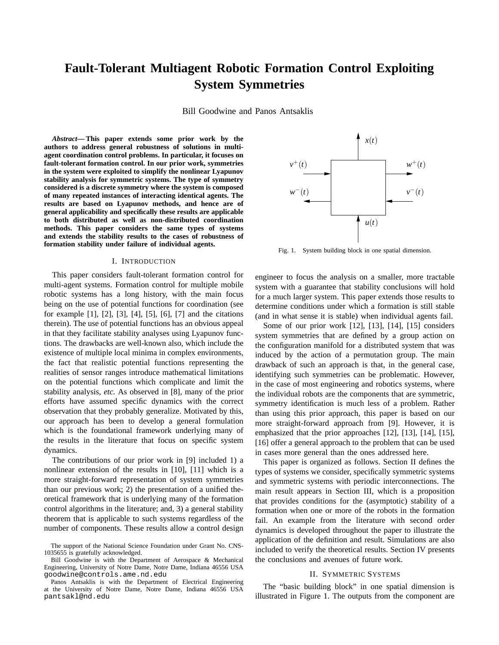# **Fault-Tolerant Multiagent Robotic Formation Control Exploiting System Symmetries**

Bill Goodwine and Panos Antsaklis

*Abstract***— This paper extends some prior work by the authors to address general robustness of solutions in multiagent coordination control problems. In particular, it focuses on fault-tolerant formation control. In our prior work, symmetries in the system were exploited to simplify the nonlinear Lyapunov stability analysis for symmetric systems. The type of symmetry considered is a discrete symmetry where the system is composed of many repeated instances of interacting identical agents. The results are based on Lyapunov methods, and hence are of general applicability and specifically these results are applicable to both distributed as well as non-distributed coordination methods. This paper considers the same types of systems and extends the stability results to the cases of robustness of formation stability under failure of individual agents.**

#### I. INTRODUCTION

This paper considers fault-tolerant formation control for multi-agent systems. Formation control for multiple mobile robotic systems has a long history, with the main focus being on the use of potential functions for coordination (see for example [1], [2], [3], [4], [5], [6], [7] and the citations therein). The use of potential functions has an obvious appeal in that they facilitate stability analyses using Lyapunov functions. The drawbacks are well-known also, which include the existence of multiple local minima in complex environments, the fact that realistic potential functions representing the realities of sensor ranges introduce mathematical limitations on the potential functions which complicate and limit the stability analysis, *etc.* As observed in [8], many of the prior efforts have assumed specific dynamics with the correct observation that they probably generalize. Motivated by this, our approach has been to develop a general formulation which is the foundational framework underlying many of the results in the literature that focus on specific system dynamics.

The contributions of our prior work in [9] included 1) a nonlinear extension of the results in [10], [11] which is a more straight-forward representation of system symmetries than our previous work; 2) the presentation of a unified theoretical framework that is underlying many of the formation control algorithms in the literature; and, 3) a general stability theorem that is applicable to such systems regardless of the number of components. These results allow a control design



Fig. 1. System building block in one spatial dimension.

engineer to focus the analysis on a smaller, more tractable system with a guarantee that stability conclusions will hold for a much larger system. This paper extends those results to determine conditions under which a formation is still stable (and in what sense it is stable) when individual agents fail.

Some of our prior work [12], [13], [14], [15] considers system symmetries that are defined by a group action on the configuration manifold for a distributed system that was induced by the action of a permutation group. The main drawback of such an approach is that, in the general case, identifying such symmetries can be problematic. However, in the case of most engineering and robotics systems, where the individual robots are the components that are symmetric, symmetry identification is much less of a problem. Rather than using this prior approach, this paper is based on our more straight-forward approach from [9]. However, it is emphasized that the prior approaches [12], [13], [14], [15], [16] offer a general approach to the problem that can be used in cases more general than the ones addressed here.

This paper is organized as follows. Section II defines the types of systems we consider, specifically symmetric systems and symmetric systems with periodic interconnections. The main result appears in Section III, which is a proposition that provides conditions for the (asymptotic) stability of a formation when one or more of the robots in the formation fail. An example from the literature with second order dynamics is developed throughout the paper to illustrate the application of the definition and result. Simulations are also included to verify the theoretical results. Section IV presents the conclusions and avenues of future work.

# II. SYMMETRIC SYSTEMS

The "basic building block" in one spatial dimension is illustrated in Figure 1. The outputs from the component are

The support of the National Science Foundation under Grant No. CNS-1035655 is gratefully acknowledged.

Bill Goodwine is with the Department of Aerospace & Mechanical Engineering, University of Notre Dame, Notre Dame, Indiana 46556 USA goodwine@controls.ame.nd.edu

Panos Antsaklis is with the Department of Electrical Engineering at the University of Notre Dame, Notre Dame, Indiana 46556 USA pantsakl@nd.edu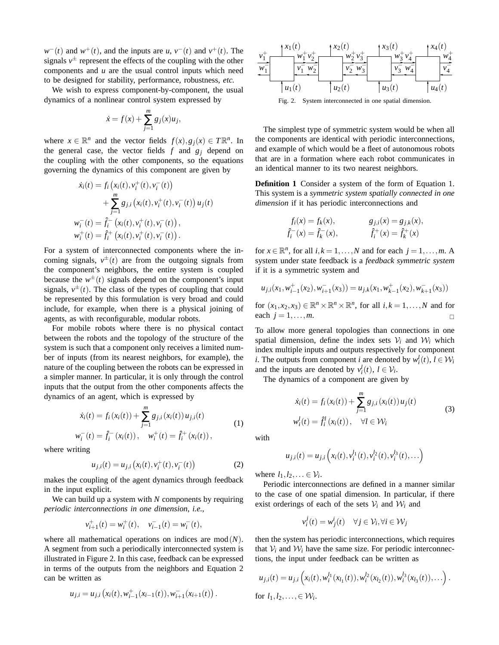$w^{-}(t)$  and  $w^{+}(t)$ , and the inputs are *u*,  $v^{-}(t)$  and  $v^{+}(t)$ . The signals  $v^{\pm}$  represent the effects of the coupling with the other components and *u* are the usual control inputs which need to be designed for stability, performance, robustness, *etc.*

We wish to express component-by-component, the usual dynamics of a nonlinear control system expressed by

$$
\dot{x} = f(x) + \sum_{j=1}^{m} g_j(x) u_j,
$$

where  $x \in \mathbb{R}^n$  and the vector fields  $f(x), g_j(x) \in T\mathbb{R}^n$ . In the general case, the vector fields  $f$  and  $g_j$  depend on the coupling with the other components, so the equations governing the dynamics of this component are given by

$$
\dot{x}_i(t) = f_i(x_i(t), v_i^+(t), v_i^-(t)) \n+ \sum_{j=1}^m g_{j,i}(x_i(t), v_i^+(t), v_i^-(t)) u_j(t) \n w_i^-(t) = \hat{f}_i^-(x_i(t), v_i^+(t), v_i^-(t)), \n w_i^+(t) = \hat{f}_i^+(x_i(t), v_i^+(t), v_i^-(t)).
$$

For a system of interconnected components where the incoming signals,  $v^{\pm}(t)$  are from the outgoing signals from the component's neighbors, the entire system is coupled because the  $w^{\pm}(t)$  signals depend on the component's input signals,  $v^{\pm}(t)$ . The class of the types of coupling that could be represented by this formulation is very broad and could include, for example, when there is a physical joining of agents, as with reconfigurable, modular robots.

For mobile robots where there is no physical contact between the robots and the topology of the structure of the system is such that a component only receives a limited number of inputs (from its nearest neighbors, for example), the nature of the coupling between the robots can be expressed in a simpler manner. In particular, it is only through the control inputs that the output from the other components affects the dynamics of an agent, which is expressed by

$$
\dot{x}_i(t) = f_i(x_i(t)) + \sum_{j=1}^m g_{j,i}(x_i(t)) u_{j,i}(t)
$$
\n(1)

$$
w_i^-(t) = \hat{f}_i^-(x_i(t)), \quad w_i^+(t) = \hat{f}_i^+(x_i(t)),
$$

where writing

$$
u_{j,i}(t) = u_{j,i}\left(x_i(t), v_i^+(t), v_i^-(t)\right)
$$
 (2)

makes the coupling of the agent dynamics through feedback in the input explicit.

We can build up a system with *N* components by requiring *periodic interconnections in one dimension*, *i.e.,*

$$
v_{i+1}^+(t) = w_i^+(t), \quad v_{i-1}^-(t) = w_i^-(t),
$$

where all mathematical operations on indices are mod(*N*). A segment from such a periodically interconnected system is illustrated in Figure 2. In this case, feedback can be expressed in terms of the outputs from the neighbors and Equation 2 can be written as

$$
u_{j,i} = u_{j,i} (x_i(t), w_{i-1}^+(x_{i-1}(t)), w_{i+1}^-(x_{i+1}(t)).
$$



Fig. 2. System interconnected in one spatial dimension.

The simplest type of symmetric system would be when all the components are identical with periodic interconnections, and example of which would be a fleet of autonomous robots that are in a formation where each robot communicates in an identical manner to its two nearest neighbors.

**Definition 1** Consider a system of the form of Equation 1. This system is a *symmetric system spatially connected in one dimension* if it has periodic interconnections and

$$
f_i(x) = f_k(x), \t\t g_{j,i}(x) = g_{j,k}(x),
$$
  

$$
\hat{f}_i^-(x) = \hat{f}_k^-(x), \t\t \hat{f}_i^+(x) = \hat{f}_k^+(x)
$$

for  $x \in \mathbb{R}^n$ , for all  $i, k = 1, ..., N$  and for each  $j = 1, ..., m$ . A system under state feedback is a *feedback symmetric system* if it is a symmetric system and

$$
u_{j,i}(x_1, w_{i-1}^+(x_2), w_{i+1}^-(x_3)) = u_{j,k}(x_1, w_{k-1}^+(x_2), w_{k+1}^-(x_3))
$$

for  $(x_1, x_2, x_3) \in \mathbb{R}^n \times \mathbb{R}^n \times \mathbb{R}^n$ , for all  $i, k = 1, ..., N$  and for each  $j = 1, \ldots, m$ .

To allow more general topologies than connections in one spatial dimension, define the index sets  $V_i$  and  $W_i$  which index multiple inputs and outputs respectively for component *i*. The outputs from component *i* are denoted by  $w_i^l(t)$ ,  $l \in \mathcal{W}_i$ and the inputs are denoted by  $v_i^l(t)$ ,  $l \in \mathcal{V}_i$ .

The dynamics of a component are given by

$$
\dot{x}_i(t) = f_i(x_i(t)) + \sum_{j=1}^m g_{j,i}(x_i(t))u_j(t)
$$
\n
$$
w_i^l(t) = \hat{f}_i^l(x_i(t)), \quad \forall l \in \mathcal{W}_i
$$
\n(3)

with

$$
u_{j,i}(t) = u_{j,i}\left(x_i(t), v_i^{l_1}(t), v_i^{l_2}(t), v_i^{l_3}(t), \ldots\right)
$$

where  $l_1, l_2, \ldots \in \mathcal{V}_i$ .

Periodic interconnections are defined in a manner similar to the case of one spatial dimension. In particular, if there exist orderings of each of the sets  $V_i$  and  $W_i$  and

$$
v_i^j(t) = w_j^i(t) \quad \forall j \in \mathcal{V}_i, \forall i \in \mathcal{W}_j
$$

then the system has periodic interconnections, which requires that  $V_i$  and  $W_i$  have the same size. For periodic interconnections, the input under feedback can be written as

$$
u_{j,i}(t) = u_{j,i}\left(x_i(t), w_i^{l_1}(x_{l_1}(t)), w_i^{l_2}(x_{l_2}(t)), w_i^{l_3}(x_{l_3}(t)), \ldots\right).
$$
  
for  $l_1, l_2, \ldots, \in \mathcal{W}_i$ .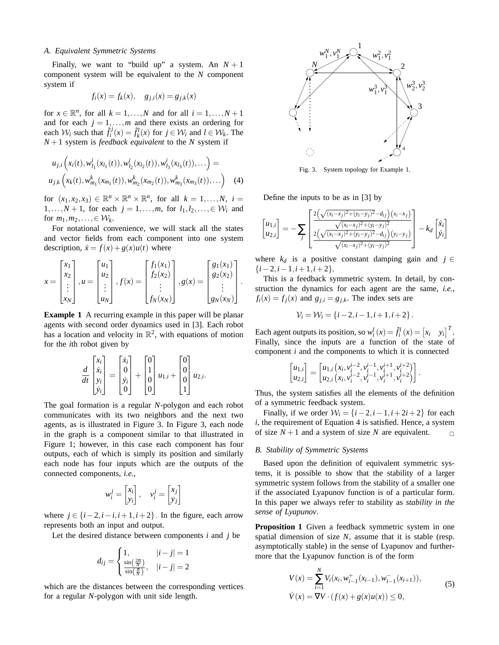## *A. Equivalent Symmetric Systems*

Finally, we want to "build up" a system. An  $N + 1$ component system will be equivalent to the *N* component system if

$$
f_i(x) = f_k(x), \quad g_{j,i}(x) = g_{j,k}(x)
$$

for  $x \in \mathbb{R}^n$ , for all  $k = 1, ..., N$  and for all  $i = 1, ..., N + 1$ and for each  $j = 1, \ldots, m$  and there exists an ordering for each  $W_i$  such that  $\hat{f}_i^j(x) = \hat{f}_k^l(x)$  for  $j \in W_i$  and  $l \in W_k$ . The  $N+1$  system is *feedback equivalent* to the *N* system if

$$
u_{j,i}\left(x_i(t), w_{l_1}^i(x_{l_1}(t)), w_{l_2}^i(x_{l_2}(t)), w_{l_3}^i(x_{l_3}(t)), \ldots\right) =
$$
  

$$
u_{j,k}\left(x_k(t), w_{m_1}^k(x_{m_1}(t)), w_{m_2}^k(x_{m_2}(t)), w_{m_3}^k(x_{m_3}(t)), \ldots\right) \quad (4)
$$

for  $(x_1, x_2, x_3) \in \mathbb{R}^n \times \mathbb{R}^n \times \mathbb{R}^n$ , for all  $k = 1, ..., N$ ,  $i =$ 1,...,*N* + 1, for each *j* = 1,...,*m*, for *l*<sub>1</sub>,*l*<sub>2</sub>,..., ∈ *W*<sub>*i*</sub> and for  $m_1, m_2, \ldots, \in \mathcal{W}_k$ .

For notational convenience, we will stack all the states and vector fields from each component into one system description,  $\dot{x} = f(x) + g(x)u(t)$  where

$$
x = \begin{bmatrix} x_1 \\ x_2 \\ \vdots \\ x_N \end{bmatrix}, u = \begin{bmatrix} u_1 \\ u_2 \\ \vdots \\ u_N \end{bmatrix}, f(x) = \begin{bmatrix} f_1(x_1) \\ f_2(x_2) \\ \vdots \\ f_N(x_N) \end{bmatrix}, g(x) = \begin{bmatrix} g_1(x_1) \\ g_2(x_2) \\ \vdots \\ g_N(x_N) \end{bmatrix}.
$$

**Example 1** A recurring example in this paper will be planar agents with second order dynamics used in [3]. Each robot has a location and velocity in  $\mathbb{R}^2$ , with equations of motion for the *i*th robot given by

$$
\frac{d}{dt}\begin{bmatrix} x_i \\ \dot{x}_i \\ y_i \\ \dot{y}_i \end{bmatrix} = \begin{bmatrix} \dot{x}_i \\ 0 \\ \dot{y}_i \\ 0 \end{bmatrix} + \begin{bmatrix} 0 \\ 1 \\ 0 \\ 0 \end{bmatrix} u_{1,i} + \begin{bmatrix} 0 \\ 0 \\ 0 \\ 1 \end{bmatrix} u_{2,i}.
$$

The goal formation is a regular *N*-polygon and each robot communicates with its two neighbors and the next two agents, as is illustrated in Figure 3. In Figure 3, each node in the graph is a component similar to that illustrated in Figure 1; however, in this case each component has four outputs, each of which is simply its position and similarly each node has four inputs which are the outputs of the connected components, *i.e.,*

$$
w_i^j = \begin{bmatrix} x_i \\ y_i \end{bmatrix}, \quad v_i^j = \begin{bmatrix} x_j \\ y_j \end{bmatrix}
$$

where  $j \in \{i-2, i-i, i+1, i+2\}$ . In the figure, each arrow represents both an input and output.

Let the desired distance between components *i* and *j* be

$$
d_{ij} = \begin{cases} 1, & |i - j| = 1\\ \frac{\sin\left(\frac{2\pi}{N}\right)}{\sin\left(\frac{\pi}{N}\right)}, & |i - j| = 2 \end{cases}
$$

which are the distances between the corresponding vertices for a regular *N*-polygon with unit side length.



Fig. 3. System topology for Example 1.

Define the inputs to be as in [3] by

$$
\begin{bmatrix} u_{1,i} \\ u_{2,i} \end{bmatrix} = -\sum_{j} \begin{bmatrix} \frac{2(\sqrt{(x_i - x_j)^2 + (y_i - y_j)^2} - d_{ij})(x_i - x_j)}{\sqrt{(x_i - x_j)^2 + (y_i - y_j)^2}} \\ \frac{2(\sqrt{(x_i - x_j)^2 + (y_i - y_j)^2} - d_{ij})(y_i - y_j)}{\sqrt{(x_i - x_j)^2 + (y_i - y_j)^2}} \end{bmatrix} - k_d \begin{bmatrix} \dot{x}_i \\ \dot{y}_i \end{bmatrix}
$$

where  $k_d$  is a positive constant damping gain and  $j \in$ {*i*−2,*i*−1,*i*+1,*i*+2}.

This is a feedback symmetric system. In detail, by construction the dynamics for each agent are the same, *i.e.,*  $f_i(x) = f_j(x)$  and  $g_{j,i} = g_{j,k}$ . The index sets are

$$
\mathcal{V}_i = \mathcal{W}_i = \{i-2, i-1, i+1, i+2\}.
$$

Each agent outputs its position, so  $w_i^l(x) = \hat{f}_i^l(x) = \begin{bmatrix} x_i & y_i \end{bmatrix}^T$ . Finally, since the inputs are a function of the state of component *i* and the components to which it is connected

$$
\begin{bmatrix} u_{1,i} \\ u_{2,i} \end{bmatrix} = \begin{bmatrix} u_{1,i} \left( x_i, v_i^{i-2}, v_i^{i-1}, v_i^{i+1}, v_i^{i+2} \right) \\ u_{2,i} \left( x_i, v_i^{i-2}, v_i^{i-1}, v_i^{i+1}, v_i^{i+2} \right) \end{bmatrix}.
$$

Thus, the system satisfies all the elements of the definition of a symmetric feedback system.

Finally, if we order  $W_i = \{i-2, i-1, i+2i+2\}$  for each *i*, the requirement of Equation 4 is satisfied. Hence, a system of size  $N+1$  and a system of size N are equivalent.

#### *B. Stability of Symmetric Systems*

Based upon the definition of equivalent symmetric systems, it is possible to show that the stability of a larger symmetric system follows from the stability of a smaller one if the associated Lyapunov function is of a particular form. In this paper we always refer to stability as *stability in the sense of Lyapunov*.

**Proposition 1** Given a feedback symmetric system in one spatial dimension of size *N*, assume that it is stable (resp. asymptotically stable) in the sense of Lyapunov and furthermore that the Lyapunov function is of the form

$$
V(x) = \sum_{i=1}^{N} V_i(x_i, w_{i-1}^+(x_{i-1}), w_{i-1}^-(x_{i+1})),
$$
  
\n
$$
\dot{V}(x) = \nabla V \cdot (f(x) + g(x)u(x)) \le 0,
$$
\n(5)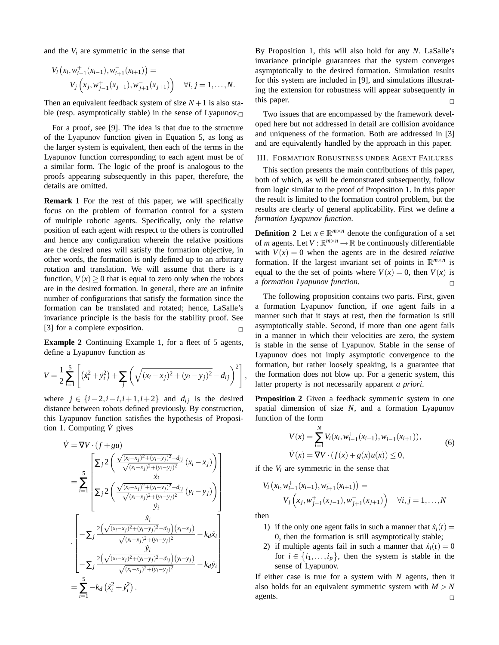and the *V<sup>i</sup>* are symmetric in the sense that

$$
V_i(x_i, w_{i-1}^+(x_{i-1}), w_{i+1}^-(x_{i+1})) =
$$
  
\n
$$
V_j(x_j, w_{j-1}^+(x_{j-1}), w_{j+1}^-(x_{j+1})) \quad \forall i, j = 1, ..., N.
$$

Then an equivalent feedback system of size  $N+1$  is also stable (resp. asymptotically stable) in the sense of Lyapunov. $\Box$ 

For a proof, see [9]. The idea is that due to the structure of the Lyapunov function given in Equation 5, as long as the larger system is equivalent, then each of the terms in the Lyapunov function corresponding to each agent must be of a similar form. The logic of the proof is analogous to the proofs appearing subsequently in this paper, therefore, the details are omitted.

**Remark 1** For the rest of this paper, we will specifically focus on the problem of formation control for a system of multiple robotic agents. Specifically, only the relative position of each agent with respect to the others is controlled and hence any configuration wherein the relative positions are the desired ones will satisfy the formation objective, in other words, the formation is only defined up to an arbitrary rotation and translation. We will assume that there is a function,  $V(x) > 0$  that is equal to zero only when the robots are in the desired formation. In general, there are an infinite number of configurations that satisfy the formation since the formation can be translated and rotated; hence, LaSalle's invariance principle is the basis for the stability proof. See [3] for a complete exposition.

**Example 2** Continuing Example 1, for a fleet of 5 agents, define a Lyapunov function as

$$
V = \frac{1}{2} \sum_{i=1}^{5} \left[ \left( \dot{x}_i^2 + \dot{y}_i^2 \right) + \sum_j \left( \sqrt{(x_i - x_j)^2 + (y_i - y_j)^2} - d_{ij} \right)^2 \right]
$$

where  $j \in \{i-2, i-i, i+1, i+2\}$  and  $d_{ij}$  is the desired distance between robots defined previously. By construction, this Lyapunov function satisfies the hypothesis of Proposition 1. Computing  $\dot{V}$  gives

$$
\dot{V} = \nabla V \cdot (f + gu)
$$
\n
$$
= \sum_{i=1}^{5} \begin{bmatrix}\n\Sigma_j 2\left(\frac{\sqrt{(x_i - x_j)^2 + (y_i - y_j)^2} - d_{ij}}{\sqrt{(x_i - x_j)^2 + (y_i - y_j)^2}} (x_i - x_j)\right) \\
\hline\n\vdots \\
\Sigma_j 2\left(\frac{\sqrt{(x_i - x_j)^2 + (y_i - y_j)^2} - d_{ij}}{\sqrt{(x_i - x_j)^2 + (y_i - y_j)^2}} (y_i - y_j)\right) \\
\hline\n\vdots \\
\hline\n-\sum_j \frac{2\left(\sqrt{(x_i - x_j)^2 + (y_i - y_j)^2} - d_{ij}\right)(x_i - x_j)}{\sqrt{(x_i - x_j)^2 + (y_i - y_j)^2}} - k_d \dot{x}_i \\
-\sum_j \frac{2\left(\sqrt{(x_i - x_j)^2 + (y_i - y_j)^2} - d_{ij}\right)(y_i - y_j)}{\sqrt{(x_i - x_j)^2 + (y_i - y_j)^2}} - k_d \dot{y}_i\n\end{bmatrix}
$$
\n
$$
= \sum_{i=1}^{5} -k_d \left(\dot{x}_i^2 + \dot{y}_i^2\right).
$$

By Proposition 1, this will also hold for any *N*. LaSalle's invariance principle guarantees that the system converges asymptotically to the desired formation. Simulation results for this system are included in [9], and simulations illustrating the extension for robustness will appear subsequently in this paper.

Two issues that are encompassed by the framework developed here but not addressed in detail are collision avoidance and uniqueness of the formation. Both are addressed in [3] and are equivalently handled by the approach in this paper.

#### III. FORMATION ROBUSTNESS UNDER AGENT FAILURES

This section presents the main contributions of this paper, both of which, as will be demonstrated subsequently, follow from logic similar to the proof of Proposition 1. In this paper the result is limited to the formation control problem, but the results are clearly of general applicability. First we define a *formation Lyapunov function*.

**Definition 2** Let  $x \in \mathbb{R}^{m \times n}$  denote the configuration of a set of *m* agents. Let  $V : \mathbb{R}^{m \times n} \to \mathbb{R}$  be continuously differentiable with  $V(x) = 0$  when the agents are in the desired *relative* formation. If the largest invariant set of points in  $\mathbb{R}^{m \times n}$  is equal to the the set of points where  $V(x) = 0$ , then  $V(x)$  is a *formation Lyapunov function*.

The following proposition contains two parts. First, given a formation Lyapunov function, if *one* agent fails in a manner such that it stays at rest, then the formation is still asymptotically stable. Second, if more than one agent fails in a manner in which their velocities are zero, the system is stable in the sense of Lyapunov. Stable in the sense of Lyapunov does not imply asymptotic convergence to the formation, but rather loosely speaking, is a guarantee that the formation does not blow up. For a generic system, this latter property is not necessarily apparent *a priori*.

**Proposition 2** Given a feedback symmetric system in one spatial dimension of size *N*, and a formation Lyapunov function of the form

$$
V(x) = \sum_{i=1}^{N} V_i(x_i, w_{i-1}^+(x_{i-1}), w_{i-1}^-(x_{i+1})),
$$
  
\n
$$
\dot{V}(x) = \nabla V \cdot (f(x) + g(x)u(x)) \le 0,
$$
\n(6)

if the *V<sup>i</sup>* are symmetric in the sense that

$$
V_i(x_i, w_{i-1}^+(x_{i-1}), w_{i+1}^-(x_{i+1})) =
$$
  
\n
$$
V_j(x_j, w_{j-1}^+(x_{j-1}), w_{j+1}^-(x_{j+1})) \quad \forall i, j = 1, ..., N
$$

then

,

- 1) if the only one agent fails in such a manner that  $\dot{x}_i(t) =$ 0, then the formation is still asymptotically stable;
- 2) if multiple agents fail in such a manner that  $\dot{x}_i(t) = 0$ for  $i \in \{i_1, \ldots, i_p\}$ , then the system is stable in the sense of Lyapunov.

If either case is true for a system with *N* agents, then it also holds for an equivalent symmetric system with  $M > N$ agents.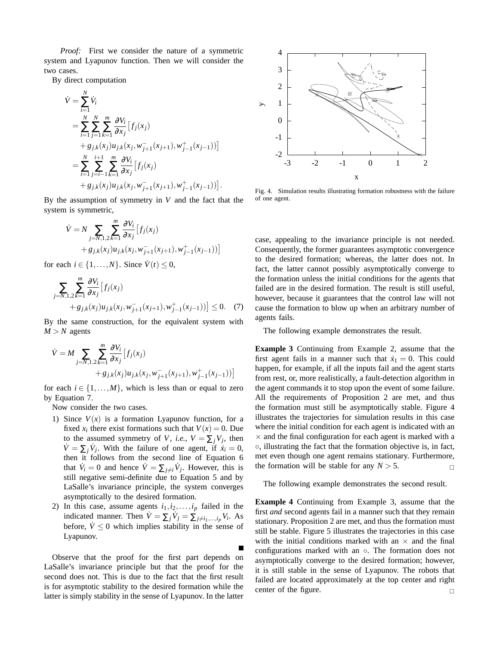*Proof:* First we consider the nature of a symmetric system and Lyapunov function. Then we will consider the two cases.

By direct computation

$$
\dot{V} = \sum_{i=1}^{N} \dot{V}_i
$$
\n
$$
= \sum_{i=1}^{N} \sum_{j=1}^{N} \sum_{k=1}^{m} \frac{\partial V_i}{\partial x_j} [f_j(x_j)
$$
\n
$$
+ g_{j,k}(x_j) u_{j,k}(x_j, w_{j+1}^-(x_{j+1}), w_{j-1}^+(x_{j-1}))]
$$
\n
$$
= \sum_{i=1}^{N} \sum_{j=i-1}^{i+1} \sum_{k=1}^{m} \frac{\partial V_i}{\partial x_j} [f_j(x_j)
$$
\n
$$
+ g_{j,k}(x_j) u_{j,k}(x_j, w_{j+1}^-(x_{j+1}), w_{j-1}^+(x_{j-1}))].
$$

By the assumption of symmetry in *V* and the fact that the system is symmetric,

$$
\dot{V} = N \sum_{j=N,1,2} \sum_{k=1}^{m} \frac{\partial V_i}{\partial x_j} \left[ f_j(x_j) + g_{j,k}(x_j) u_{j,k}(x_j, w_{j+1}^-(x_{j+1}), w_{j-1}^+(x_{j-1})) \right]
$$

for each  $i \in \{1, \ldots, N\}$ . Since  $\dot{V}(t) \leq 0$ ,

$$
\sum_{j=N,1,2}\sum_{k=1}^{m} \frac{\partial V_i}{\partial x_j} \left[ f_j(x_j) + g_{j,k}(x_j) u_{j,k}(x_j, w_{j+1}^-(x_{j+1}), w_{j-1}^+(x_{j-1})) \right] \le 0. \quad (7)
$$

By the same construction, for the equivalent system with  $M > N$  agents

$$
\dot{V} = M \sum_{j=N,1,2} \sum_{k=1}^{m} \frac{\partial V_i}{\partial x_j} \left[ f_j(x_j) + g_{j,k}(x_j) u_{j,k}(x_j, w_{j+1}^-(x_{j+1}), w_{j-1}^+(x_{j-1})) \right]
$$

for each  $i \in \{1, \ldots, M\}$ , which is less than or equal to zero by Equation 7.

Now consider the two cases.

- 1) Since  $V(x)$  is a formation Lyapunov function, for a fixed  $x_i$  there exist formations such that  $V(x) = 0$ . Due to the assumed symmetry of *V*, *i.e.*,  $V = \sum_j V_j$ , then  $\dot{V} = \sum_j \dot{V}_j$ . With the failure of one agent, if  $\dot{x}_i = 0$ , then it follows from the second line of Equation 6 that  $\dot{V}_i = 0$  and hence  $\dot{V} = \sum_{j \neq i} \dot{V}_j$ . However, this is still negative semi-definite due to Equation 5 and by LaSalle's invariance principle, the system converges asymptotically to the desired formation.
- 2) In this case, assume agents  $i_1, i_2, \ldots, i_p$  failed in the indicated manner. Then  $\dot{V} = \sum_j \dot{V}_j = \sum_{j \neq i_1, ..., i_p} V_i$ . As before,  $\dot{V} \le 0$  which implies stability in the sense of Lyapunov.

Observe that the proof for the first part depends on LaSalle's invariance principle but that the proof for the second does not. This is due to the fact that the first result is for asymptotic stability to the desired formation while the latter is simply stability in the sense of Lyapunov. In the latter



Fig. 4. Simulation results illustrating formation robustness with the failure of one agent.

case, appealing to the invariance principle is not needed. Consequently, the former guarantees asymptotic convergence to the desired formation; whereas, the latter does not. In fact, the latter cannot possibly asymptotically converge to the formation unless the initial conditions for the agents that failed are in the desired formation. The result is still useful, however, because it guarantees that the control law will not cause the formation to blow up when an arbitrary number of agents fails.

The following example demonstrates the result.

**Example 3** Continuing from Example 2, assume that the first agent fails in a manner such that  $\dot{x}_1 = 0$ . This could happen, for example, if all the inputs fail and the agent starts from rest, or, more realistically, a fault-detection algorithm in the agent commands it to stop upon the event of some failure. All the requirements of Proposition 2 are met, and thus the formation must still be asymptotically stable. Figure 4 illustrates the trajectories for simulation results in this case where the initial condition for each agent is indicated with an  $\times$  and the final configuration for each agent is marked with a ◦, illustrating the fact that the formation objective is, in fact, met even though one agent remains stationary. Furthermore, the formation will be stable for any  $N > 5$ .

The following example demonstrates the second result.

**Example 4** Continuing from Example 3, assume that the first *and* second agents fail in a manner such that they remain stationary. Proposition 2 are met, and thus the formation must still be stable. Figure 5 illustrates the trajectories in this case with the initial conditions marked with an  $\times$  and the final configurations marked with an ◦. The formation does not asymptotically converge to the desired formation; however, it is still stable in the sense of Lyapunov. The robots that failed are located approximately at the top center and right center of the figure.